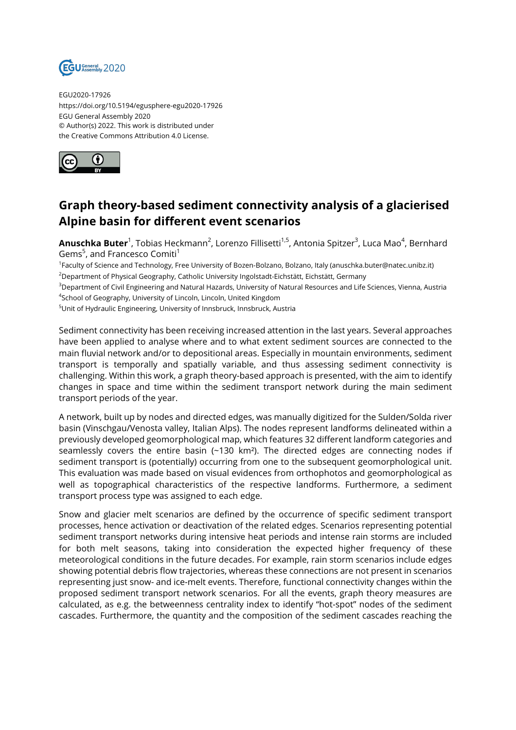

EGU2020-17926 https://doi.org/10.5194/egusphere-egu2020-17926 EGU General Assembly 2020 © Author(s) 2022. This work is distributed under the Creative Commons Attribution 4.0 License.



## **Graph theory-based sediment connectivity analysis of a glacierised Alpine basin for different event scenarios**

**Anuschka Buter**<sup>1</sup>, Tobias Heckmann<sup>2</sup>, Lorenzo Fillisetti<sup>1,5</sup>, Antonia Spitzer<sup>3</sup>, Luca Mao<sup>4</sup>, Bernhard Gems<sup>5</sup>, and Francesco Comiti<sup>1</sup>

<sup>1</sup>Faculty of Science and Technology, Free University of Bozen-Bolzano, Bolzano, Italy (anuschka.buter@natec.unibz.it) <sup>2</sup>Department of Physical Geography, Catholic University Ingolstadt-Eichstätt, Eichstätt, Germany

<sup>3</sup>Department of Civil Engineering and Natural Hazards, University of Natural Resources and Life Sciences, Vienna, Austria <sup>4</sup>School of Geography, University of Lincoln, Lincoln, United Kingdom

<sup>5</sup>Unit of Hydraulic Engineering, University of Innsbruck, Innsbruck, Austria

Sediment connectivity has been receiving increased attention in the last years. Several approaches have been applied to analyse where and to what extent sediment sources are connected to the main fluvial network and/or to depositional areas. Especially in mountain environments, sediment transport is temporally and spatially variable, and thus assessing sediment connectivity is challenging. Within this work, a graph theory-based approach is presented, with the aim to identify changes in space and time within the sediment transport network during the main sediment transport periods of the year.

A network, built up by nodes and directed edges, was manually digitized for the Sulden/Solda river basin (Vinschgau/Venosta valley, Italian Alps). The nodes represent landforms delineated within a previously developed geomorphological map, which features 32 different landform categories and seamlessly covers the entire basin (~130 km<sup>2</sup>). The directed edges are connecting nodes if sediment transport is (potentially) occurring from one to the subsequent geomorphological unit. This evaluation was made based on visual evidences from orthophotos and geomorphological as well as topographical characteristics of the respective landforms. Furthermore, a sediment transport process type was assigned to each edge.

Snow and glacier melt scenarios are defined by the occurrence of specific sediment transport processes, hence activation or deactivation of the related edges. Scenarios representing potential sediment transport networks during intensive heat periods and intense rain storms are included for both melt seasons, taking into consideration the expected higher frequency of these meteorological conditions in the future decades. For example, rain storm scenarios include edges showing potential debris flow trajectories, whereas these connections are not present in scenarios representing just snow- and ice-melt events. Therefore, functional connectivity changes within the proposed sediment transport network scenarios. For all the events, graph theory measures are calculated, as e.g. the betweenness centrality index to identify "hot-spot" nodes of the sediment cascades. Furthermore, the quantity and the composition of the sediment cascades reaching the